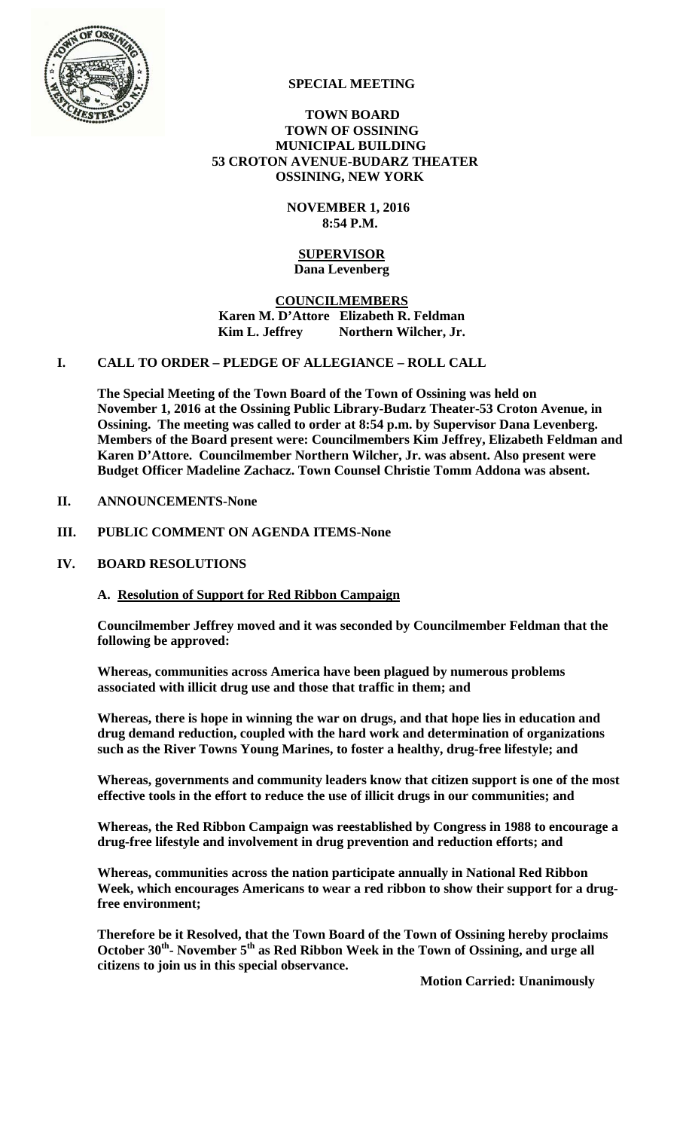

### **SPECIAL MEETING**

#### **TOWN BOARD TOWN OF OSSINING MUNICIPAL BUILDING 53 CROTON AVENUE-BUDARZ THEATER OSSINING, NEW YORK**

 **NOVEMBER 1, 2016 8:54 P.M.** 

#### **SUPERVISOR Dana Levenberg**

**COUNCILMEMBERS Karen M. D'Attore Elizabeth R. Feldman**  Kim L. Jeffrey Northern Wilcher, Jr.

#### **I. CALL TO ORDER – PLEDGE OF ALLEGIANCE – ROLL CALL**

**The Special Meeting of the Town Board of the Town of Ossining was held on November 1, 2016 at the Ossining Public Library-Budarz Theater-53 Croton Avenue, in Ossining. The meeting was called to order at 8:54 p.m. by Supervisor Dana Levenberg. Members of the Board present were: Councilmembers Kim Jeffrey, Elizabeth Feldman and Karen D'Attore. Councilmember Northern Wilcher, Jr. was absent. Also present were Budget Officer Madeline Zachacz. Town Counsel Christie Tomm Addona was absent.** 

#### **II. ANNOUNCEMENTS-None**

#### **III. PUBLIC COMMENT ON AGENDA ITEMS-None**

### **IV. BOARD RESOLUTIONS**

# **A. Resolution of Support for Red Ribbon Campaign**

**Councilmember Jeffrey moved and it was seconded by Councilmember Feldman that the following be approved:** 

**Whereas, communities across America have been plagued by numerous problems associated with illicit drug use and those that traffic in them; and** 

**Whereas, there is hope in winning the war on drugs, and that hope lies in education and drug demand reduction, coupled with the hard work and determination of organizations such as the River Towns Young Marines, to foster a healthy, drug-free lifestyle; and** 

**Whereas, governments and community leaders know that citizen support is one of the most effective tools in the effort to reduce the use of illicit drugs in our communities; and** 

**Whereas, the Red Ribbon Campaign was reestablished by Congress in 1988 to encourage a drug-free lifestyle and involvement in drug prevention and reduction efforts; and** 

**Whereas, communities across the nation participate annually in National Red Ribbon Week, which encourages Americans to wear a red ribbon to show their support for a drugfree environment;** 

**Therefore be it Resolved, that the Town Board of the Town of Ossining hereby proclaims**  October 30<sup>th</sup>- November 5<sup>th</sup> as Red Ribbon Week in the Town of Ossining, and urge all **citizens to join us in this special observance.** 

 **Motion Carried: Unanimously**